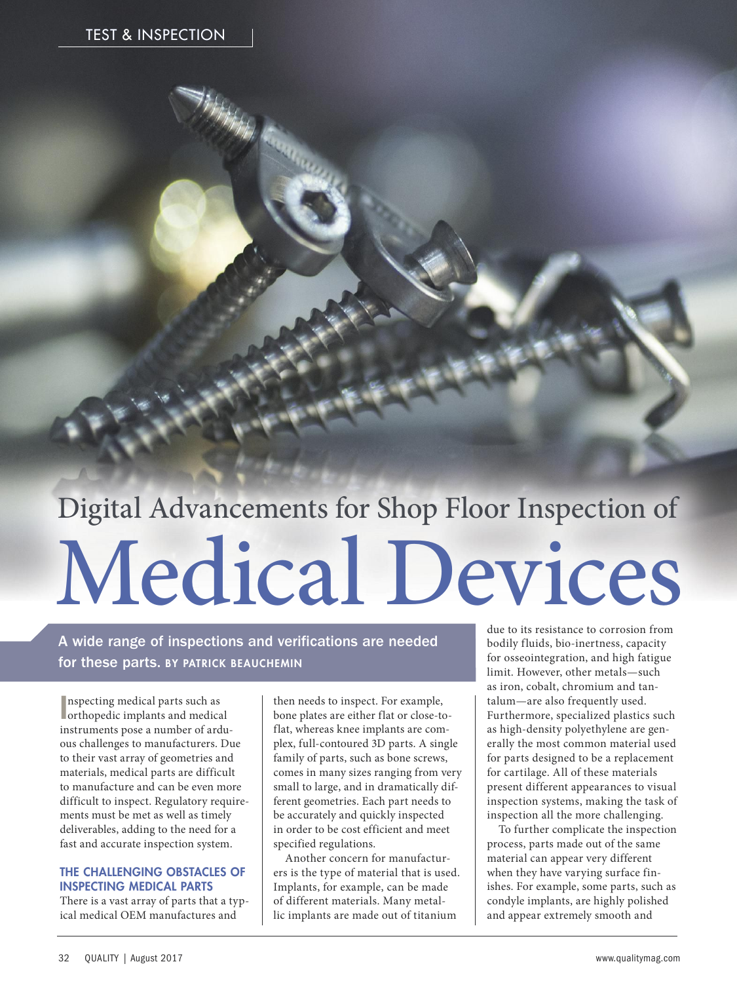# Digital Advancements for Shop Floor Inspection of Medical Devices

A wide range of inspections and verifications are needed for these parts. BY PATRICK BEAUCHEMIN

nspecting medical parts such as<br>orthopedic implants and medica orthopedic implants and medical instruments pose a number of arduous challenges to manufacturers. Due to their vast array of geometries and materials, medical parts are difficult to manufacture and can be even more difficult to inspect. Regulatory requirements must be met as well as timely deliverables, adding to the need for a fast and accurate inspection system.

### THE CHALLENGING OBSTACLES OF INSPECTING MEDICAL PARTS

There is a vast array of parts that a typical medical OEM manufactures and

then needs to inspect. For example, bone plates are either flat or close-toflat, whereas knee implants are complex, full-contoured 3D parts. A single family of parts, such as bone screws, comes in many sizes ranging from very small to large, and in dramatically different geometries. Each part needs to be accurately and quickly inspected in order to be cost efficient and meet specified regulations.

Another concern for manufacturers is the type of material that is used. Implants, for example, can be made of different materials. Many metallic implants are made out of titanium

due to its resistance to corrosion from bodily fluids, bio-inertness, capacity for osseointegration, and high fatigue limit. However, other metals—such as iron, cobalt, chromium and tantalum—are also frequently used. Furthermore, specialized plastics such as high-density polyethylene are generally the most common material used for parts designed to be a replacement for cartilage. All of these materials present different appearances to visual inspection systems, making the task of inspection all the more challenging.

To further complicate the inspection process, parts made out of the same material can appear very different when they have varying surface finishes. For example, some parts, such as condyle implants, are highly polished and appear extremely smooth and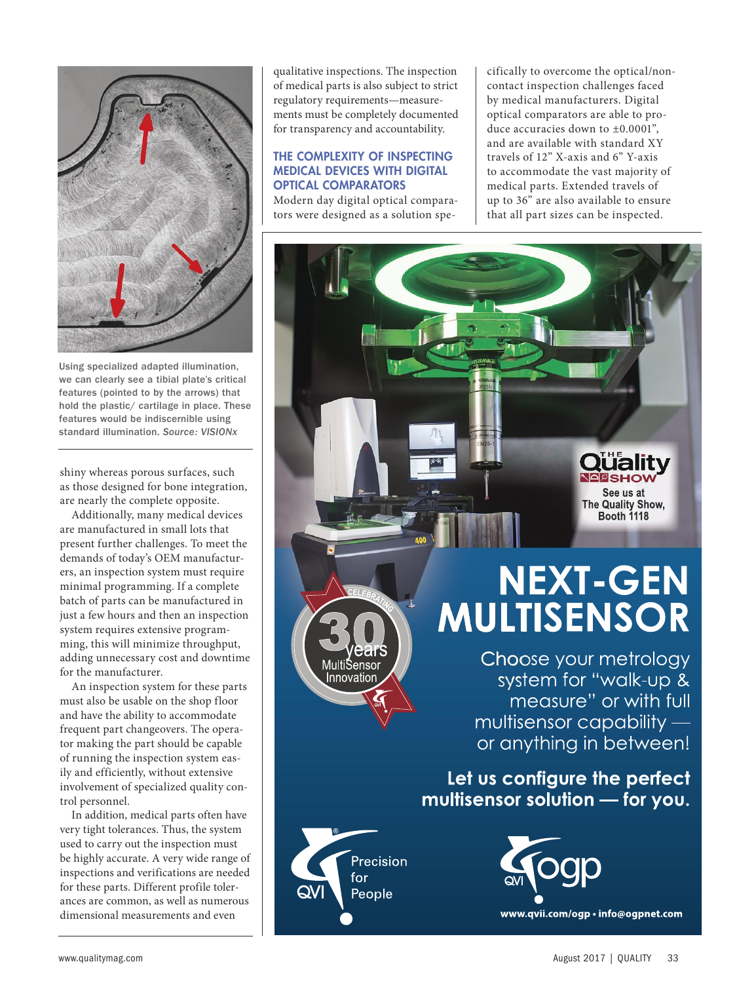

Using specialized adapted illumination, we can clearly see a tibial plate's critical features (pointed to by the arrows) that hold the plastic/ cartilage in place. These features would be indiscernible using standard illumination. *Source: VISIONx*

shiny whereas porous surfaces, such as those designed for bone integration, are nearly the complete opposite.

Additionally, many medical devices are manufactured in small lots that present further challenges. To meet the demands of today's OEM manufacturers, an inspection system must require minimal programming. If a complete batch of parts can be manufactured in just a few hours and then an inspection system requires extensive programming, this will minimize throughput, adding unnecessary cost and downtime for the manufacturer.

An inspection system for these parts must also be usable on the shop floor and have the ability to accommodate frequent part changeovers. The operator making the part should be capable of running the inspection system easily and efficiently, without extensive involvement of specialized quality control personnel.

In addition, medical parts often have very tight tolerances. Thus, the system used to carry out the inspection must be highly accurate. A very wide range of inspections and verifications are needed for these parts. Different profile tolerances are common, as well as numerous dimensional measurements and even

qualitative inspections. The inspection of medical parts is also subject to strict regulatory requirements—measurements must be completely documented for transparency and accountability.

### THE COMPLEXITY OF INSPECTING MEDICAL DEVICES WITH DIGITAL OPTICAL COMPARATORS

Modern day digital optical comparators were designed as a solution specifically to overcome the optical/noncontact inspection challenges faced by medical manufacturers. Digital optical comparators are able to produce accuracies down to ±0.0001", and are available with standard XY travels of 12" X-axis and 6" Y-axis to accommodate the vast majority of medical parts. Extended travels of up to 36" are also available to ensure that all part sizes can be inspected.



# **NEXT-GEN MULTISENSOR**

**SHOV** See us at The Quality Show, Booth 1118

Choose your metrology system for "walk-up & measure" or with full multisensor capability or anything in between!

### Let us configure the perfect multisensor solution - for you.



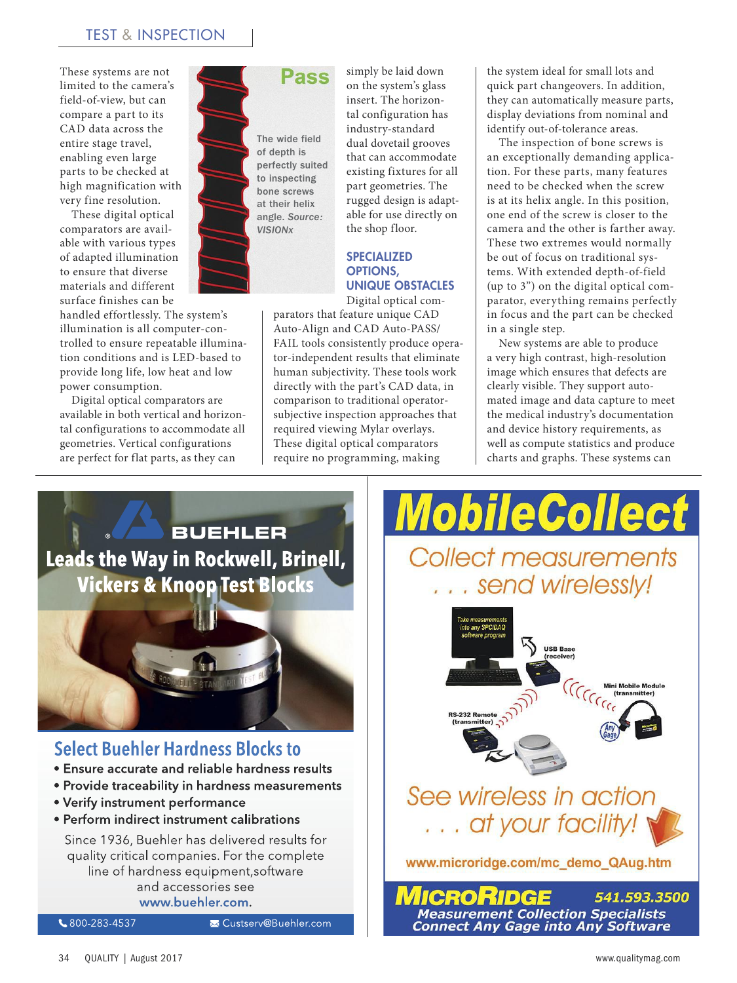These systems are not limited to the camera's field-of-view, but can compare a part to its CAD data across the entire stage travel, enabling even large parts to be checked at high magnification with very fine resolution.

These digital optical comparators are available with various types of adapted illumination to ensure that diverse materials and different surface finishes can be

handled effortlessly. The system's illumination is all computer-controlled to ensure repeatable illumination conditions and is LED-based to provide long life, low heat and low power consumption.

Digital optical comparators are available in both vertical and horizontal configurations to accommodate all geometries. Vertical configurations are perfect for flat parts, as they can



simply be laid down on the system's glass insert. The horizontal configuration has industry-standard dual dovetail grooves that can accommodate existing fixtures for all part geometries. The rugged design is adaptable for use directly on the shop floor.

### SPECIALIZED OPTIONS, UNIQUE OBSTACLES

Digital optical com-

parators that feature unique CAD Auto-Align and CAD Auto-PASS/ FAIL tools consistently produce operator-independent results that eliminate human subjectivity. These tools work directly with the part's CAD data, in comparison to traditional operatorsubjective inspection approaches that required viewing Mylar overlays. These digital optical comparators require no programming, making

the system ideal for small lots and quick part changeovers. In addition, they can automatically measure parts, display deviations from nominal and identify out-of-tolerance areas.

The inspection of bone screws is an exceptionally demanding application. For these parts, many features need to be checked when the screw is at its helix angle. In this position, one end of the screw is closer to the camera and the other is farther away. These two extremes would normally be out of focus on traditional systems. With extended depth-of-field (up to 3") on the digital optical comparator, everything remains perfectly in focus and the part can be checked in a single step.

New systems are able to produce a very high contrast, high-resolution image which ensures that defects are clearly visible. They support automated image and data capture to meet the medical industry's documentation and device history requirements, as well as compute statistics and produce charts and graphs. These systems can

50



**Collect measurements** . . send wirelessly! **USB Base** Mini Mobile N See wireless in action ... at your facility! www.microridge.com/mc\_demo\_QAug.htm

541.593.3500 **Measurement Collection Specialists Connect Any Gage into Any Software**